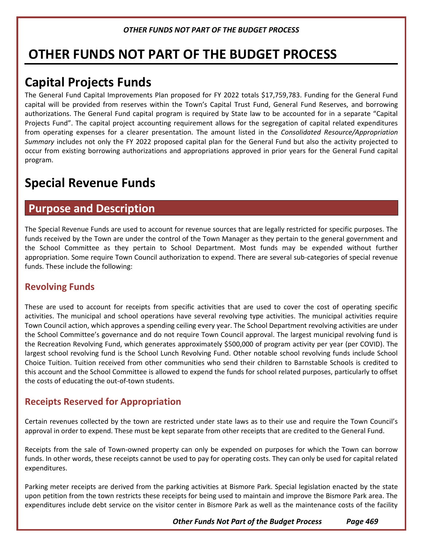# **OTHER FUNDS NOT PART OF THE BUDGET PROCESS**

# **Capital Projects Funds**

The General Fund Capital Improvements Plan proposed for FY 2022 totals \$17,759,783. Funding for the General Fund capital will be provided from reserves within the Town's Capital Trust Fund, General Fund Reserves, and borrowing authorizations. The General Fund capital program is required by State law to be accounted for in a separate "Capital Projects Fund". The capital project accounting requirement allows for the segregation of capital related expenditures from operating expenses for a clearer presentation. The amount listed in the *Consolidated Resource/Appropriation Summary* includes not only the FY 2022 proposed capital plan for the General Fund but also the activity projected to occur from existing borrowing authorizations and appropriations approved in prior years for the General Fund capital program.

# **Special Revenue Funds**

## **Purpose and Description**

The Special Revenue Funds are used to account for revenue sources that are legally restricted for specific purposes. The funds received by the Town are under the control of the Town Manager as they pertain to the general government and the School Committee as they pertain to School Department. Most funds may be expended without further appropriation. Some require Town Council authorization to expend. There are several sub-categories of special revenue funds. These include the following:

## **Revolving Funds**

These are used to account for receipts from specific activities that are used to cover the cost of operating specific activities. The municipal and school operations have several revolving type activities. The municipal activities require Town Council action, which approves a spending ceiling every year. The School Department revolving activities are under the School Committee's governance and do not require Town Council approval. The largest municipal revolving fund is the Recreation Revolving Fund, which generates approximately \$500,000 of program activity per year (per COVID). The largest school revolving fund is the School Lunch Revolving Fund. Other notable school revolving funds include School Choice Tuition. Tuition received from other communities who send their children to Barnstable Schools is credited to this account and the School Committee is allowed to expend the funds for school related purposes, particularly to offset the costs of educating the out-of-town students.

## **Receipts Reserved for Appropriation**

Certain revenues collected by the town are restricted under state laws as to their use and require the Town Council's approval in order to expend. These must be kept separate from other receipts that are credited to the General Fund.

Receipts from the sale of Town-owned property can only be expended on purposes for which the Town can borrow funds. In other words, these receipts cannot be used to pay for operating costs. They can only be used for capital related expenditures.

Parking meter receipts are derived from the parking activities at Bismore Park. Special legislation enacted by the state upon petition from the town restricts these receipts for being used to maintain and improve the Bismore Park area. The expenditures include debt service on the visitor center in Bismore Park as well as the maintenance costs of the facility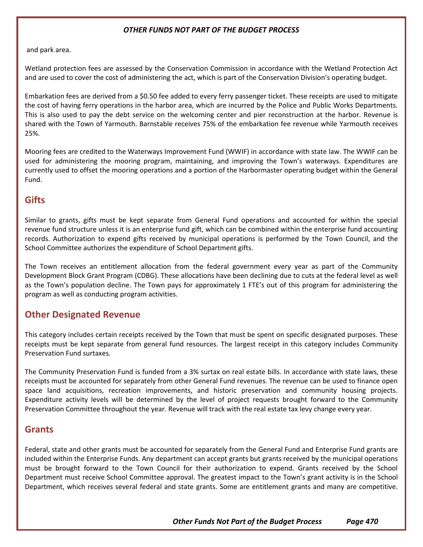and park area.

Wetland protection fees are assessed by the Conservation Commission in accordance with the Wetland Protection Act and are used to cover the cost of administering the act, which is part of the Conservation Division's operating budget.

Embarkation fees are derived from a \$0.50 fee added to every ferry passenger ticket. These receipts are used to mitigate the cost of having ferry operations in the harbor area, which are incurred by the Police and Public Works Departments. This is also used to pay the debt service on the welcoming center and pier reconstruction at the harbor. Revenue is shared with the Town of Yarmouth. Barnstable receives 75% of the embarkation fee revenue while Yarmouth receives 25%.

Mooring fees are credited to the Waterways Improvement Fund (WWIF) in accordance with state law. The WWIF can be used for administering the mooring program, maintaining, and improving the Town's waterways. Expenditures are currently used to offset the mooring operations and a portion of the Harbormaster operating budget within the General Fund.

### **Gifts**

Similar to grants, gifts must be kept separate from General Fund operations and accounted for within the special revenue fund structure unless it is an enterprise fund gift, which can be combined within the enterprise fund accounting records. Authorization to expend gifts received by municipal operations is performed by the Town Council, and the School Committee authorizes the expenditure of School Department gifts.

The Town receives an entitlement allocation from the federal government every year as part of the Community Development Block Grant Program (CDBG). These allocations have been declining due to cuts at the federal level as well as the Town's population decline. The Town pays for approximately 1 FTE's out of this program for administering the program as well as conducting program activities.

## **Other Designated Revenue**

This category includes certain receipts received by the Town that must be spent on specific designated purposes. These receipts must be kept separate from general fund resources. The largest receipt in this category includes Community Preservation Fund surtaxes.

The Community Preservation Fund is funded from a 3% surtax on real estate bills. In accordance with state laws, these receipts must be accounted for separately from other General Fund revenues. The revenue can be used to finance open space land acquisitions, recreation improvements, and historic preservation and community housing projects. Expenditure activity levels will be determined by the level of project requests brought forward to the Community Preservation Committee throughout the year. Revenue will track with the real estate tax levy change every year.

### **Grants**

Federal, state and other grants must be accounted for separately from the General Fund and Enterprise Fund grants are included within the Enterprise Funds. Any department can accept grants but grants received by the municipal operations must be brought forward to the Town Council for their authorization to expend. Grants received by the School Department must receive School Committee approval. The greatest impact to the Town's grant activity is in the School Department, which receives several federal and state grants. Some are entitlement grants and many are competitive.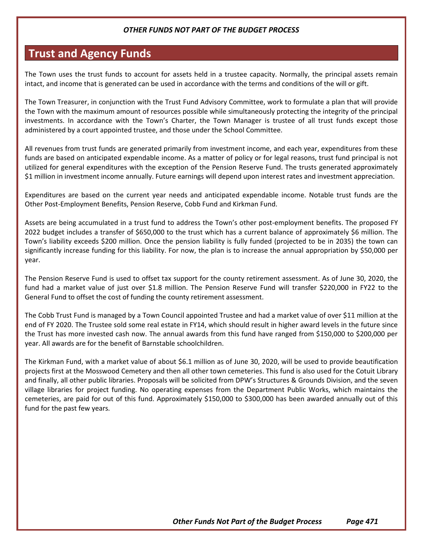## **Trust and Agency Funds**

The Town uses the trust funds to account for assets held in a trustee capacity. Normally, the principal assets remain intact, and income that is generated can be used in accordance with the terms and conditions of the will or gift.

The Town Treasurer, in conjunction with the Trust Fund Advisory Committee, work to formulate a plan that will provide the Town with the maximum amount of resources possible while simultaneously protecting the integrity of the principal investments. In accordance with the Town's Charter, the Town Manager is trustee of all trust funds except those administered by a court appointed trustee, and those under the School Committee.

All revenues from trust funds are generated primarily from investment income, and each year, expenditures from these funds are based on anticipated expendable income. As a matter of policy or for legal reasons, trust fund principal is not utilized for general expenditures with the exception of the Pension Reserve Fund. The trusts generated approximately \$1 million in investment income annually. Future earnings will depend upon interest rates and investment appreciation.

Expenditures are based on the current year needs and anticipated expendable income. Notable trust funds are the Other Post-Employment Benefits, Pension Reserve, Cobb Fund and Kirkman Fund.

Assets are being accumulated in a trust fund to address the Town's other post-employment benefits. The proposed FY 2022 budget includes a transfer of \$650,000 to the trust which has a current balance of approximately \$6 million. The Town's liability exceeds \$200 million. Once the pension liability is fully funded (projected to be in 2035) the town can significantly increase funding for this liability. For now, the plan is to increase the annual appropriation by \$50,000 per year.

The Pension Reserve Fund is used to offset tax support for the county retirement assessment. As of June 30, 2020, the fund had a market value of just over \$1.8 million. The Pension Reserve Fund will transfer \$220,000 in FY22 to the General Fund to offset the cost of funding the county retirement assessment.

The Cobb Trust Fund is managed by a Town Council appointed Trustee and had a market value of over \$11 million at the end of FY 2020. The Trustee sold some real estate in FY14, which should result in higher award levels in the future since the Trust has more invested cash now. The annual awards from this fund have ranged from \$150,000 to \$200,000 per year. All awards are for the benefit of Barnstable schoolchildren.

The Kirkman Fund, with a market value of about \$6.1 million as of June 30, 2020, will be used to provide beautification projects first at the Mosswood Cemetery and then all other town cemeteries. This fund is also used for the Cotuit Library and finally, all other public libraries. Proposals will be solicited from DPW's Structures & Grounds Division, and the seven village libraries for project funding. No operating expenses from the Department Public Works, which maintains the cemeteries, are paid for out of this fund. Approximately \$150,000 to \$300,000 has been awarded annually out of this fund for the past few years.